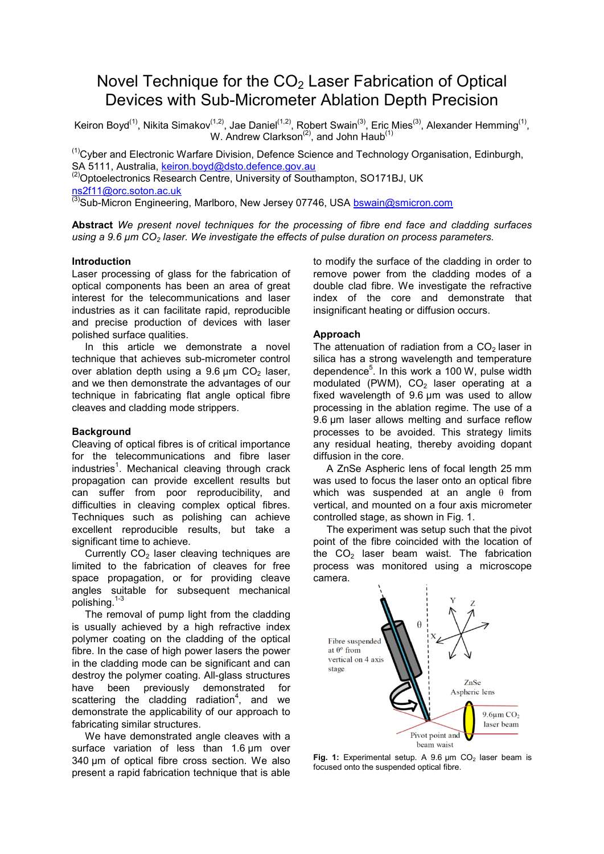# Novel Technique for the  $CO<sub>2</sub>$  Laser Fabrication of Optical Devices with Sub-Micrometer Ablation Depth Precision

Keiron Boyd<sup>(1)</sup>, Nikita Simakov<sup>(1,2)</sup>, Jae Daniel<sup>(1,2)</sup>, Robert Swain<sup>(3)</sup>, Eric Mies<sup>(3)</sup>, Alexander Hemming<sup>(1)</sup>, W. Andrew Clarkson<sup>(2)</sup>, and John Haub<sup>(1)</sup>

 $<sup>(1)</sup>$ Cyber and Electronic Warfare Division, Defence Science and Technology Organisation, Edinburgh,</sup> SA 5111, Australia, keiron.boyd@dsto.defence.gov.au (2)Optoelectronics Research Centre, University of Southampton, SO171BJ, UK

ns2f11@orc.soton.ac.uk

 $^{(3)}$ Sub-Micron Engineering, Marlboro, New Jersey 07746, USA bswain@smicron.com

**Abstract** *We present novel techniques for the processing of fibre end face and cladding surfaces using a 9.6 µm CO<sub>2</sub> laser. We investigate the effects of pulse duration on process parameters.* 

## **Introduction**

Laser processing of glass for the fabrication of optical components has been an area of great interest for the telecommunications and laser industries as it can facilitate rapid, reproducible and precise production of devices with laser polished surface qualities.

 In this article we demonstrate a novel technique that achieves sub-micrometer control over ablation depth using a  $9.6 \mu m$  CO<sub>2</sub> laser, and we then demonstrate the advantages of our technique in fabricating flat angle optical fibre cleaves and cladding mode strippers.

## **Background**

Cleaving of optical fibres is of critical importance for the telecommunications and fibre laser industries<sup>1</sup>. Mechanical cleaving through crack propagation can provide excellent results but can suffer from poor reproducibility, and difficulties in cleaving complex optical fibres. Techniques such as polishing can achieve excellent reproducible results, but take a significant time to achieve.

Currently  $CO<sub>2</sub>$  laser cleaving techniques are limited to the fabrication of cleaves for free space propagation, or for providing cleave angles suitable for subsequent mechanical polishing.1-3

 The removal of pump light from the cladding is usually achieved by a high refractive index polymer coating on the cladding of the optical fibre. In the case of high power lasers the power in the cladding mode can be significant and can destroy the polymer coating. All-glass structures have been previously demonstrated for scattering the cladding radiation<sup>4</sup>, and we demonstrate the applicability of our approach to fabricating similar structures.

 We have demonstrated angle cleaves with a surface variation of less than 1.6 um over 340 μm of optical fibre cross section. We also present a rapid fabrication technique that is able to modify the surface of the cladding in order to remove power from the cladding modes of a double clad fibre. We investigate the refractive index of the core and demonstrate that insignificant heating or diffusion occurs.

## **Approach**

The attenuation of radiation from a  $CO<sub>2</sub>$  laser in silica has a strong wavelength and temperature dependence $5$ . In this work a 100 W, pulse width modulated (PWM),  $CO<sub>2</sub>$  laser operating at a fixed wavelength of 9.6 um was used to allow processing in the ablation regime. The use of a 9.6 μm laser allows melting and surface reflow processes to be avoided. This strategy limits any residual heating, thereby avoiding dopant diffusion in the core.

 A ZnSe Aspheric lens of focal length 25 mm was used to focus the laser onto an optical fibre which was suspended at an angle  $\theta$  from vertical, and mounted on a four axis micrometer controlled stage, as shown in Fig. 1.

 The experiment was setup such that the pivot point of the fibre coincided with the location of the  $CO<sub>2</sub>$  laser beam waist. The fabrication process was monitored using a microscope camera.



Fig. 1: Experimental setup. A 9.6 um CO<sub>2</sub> laser beam is focused onto the suspended optical fibre.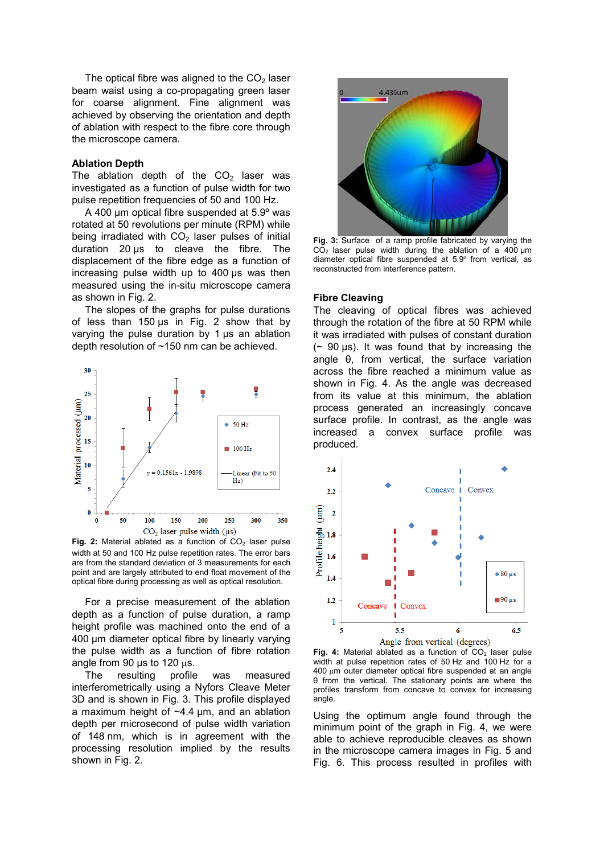The optical fibre was aligned to the  $CO<sub>2</sub>$  laser beam waist using a co-propagating green laser for coarse alignment. Fine alignment was achieved by observing the orientation and depth of ablation with respect to the fibre core through the microscope camera.

#### **Ablation Depth**

The ablation depth of the  $CO<sub>2</sub>$  laser was investigated as a function of pulse width for two pulse repetition frequencies of 50 and 100 Hz.

 A 400 µm optical fibre suspended at 5.9º was rotated at 50 revolutions per minute (RPM) while being irradiated with  $CO<sub>2</sub>$  laser pulses of initial duration 20 µs to cleave the fibre. The displacement of the fibre edge as a function of increasing pulse width up to 400 µs was then measured using the in-situ microscope camera as shown in Fig. 2.

 The slopes of the graphs for pulse durations of less than 150  $\mu$ s in Fig. 2 show that by varying the pulse duration by 1 µs an ablation depth resolution of ~150 nm can be achieved.



Fig. 2: Material ablated as a function of CO<sub>2</sub> laser pulse width at 50 and 100 Hz pulse repetition rates. The error bars are from the standard deviation of 3 measurements for each point and are largely attributed to end float movement of the optical fibre during processing as well as optical resolution.

 For a precise measurement of the ablation depth as a function of pulse duration, a ramp height profile was machined onto the end of a 400 μm diameter optical fibre by linearly varying the pulse width as a function of fibre rotation angle from 90 us to 120 us.

 The resulting profile was measured interferometrically using a Nyfors Cleave Meter 3D and is shown in Fig. 3. This profile displayed a maximum height of ~4.4 μm, and an ablation depth per microsecond of pulse width variation of 148 nm, which is in agreement with the processing resolution implied by the results shown in Fig. 2.



**Fig. 3:** Surface of a ramp profile fabricated by varying the  $C\overline{O}_2$  laser pulse width during the ablation of a 400 µm diameter optical fibre suspended at 5.9º from vertical, as reconstructed from interference pattern.

#### **Fibre Cleaving**

angle.

The cleaving of optical fibres was achieved through the rotation of the fibre at 50 RPM while it was irradiated with pulses of constant duration  $($   $\sim$  90  $\mu$ s). It was found that by increasing the angle θ, from vertical, the surface variation across the fibre reached a minimum value as shown in Fig. 4. As the angle was decreased from its value at this minimum, the ablation process generated an increasingly concave surface profile. In contrast, as the angle was increased a convex surface profile was produced.



Fig. 4: Material ablated as a function of CO<sub>2</sub> laser pulse width at pulse repetition rates of 50 Hz and 100 Hz for a 400 µm outer diameter optical fibre suspended at an angle θ from the vertical. The stationary points are where the profiles transform from concave to convex for increasing

Using the optimum angle found through the minimum point of the graph in Fig. 4, we were able to achieve reproducible cleaves as shown in the microscope camera images in Fig. 5 and Fig. 6. This process resulted in profiles with